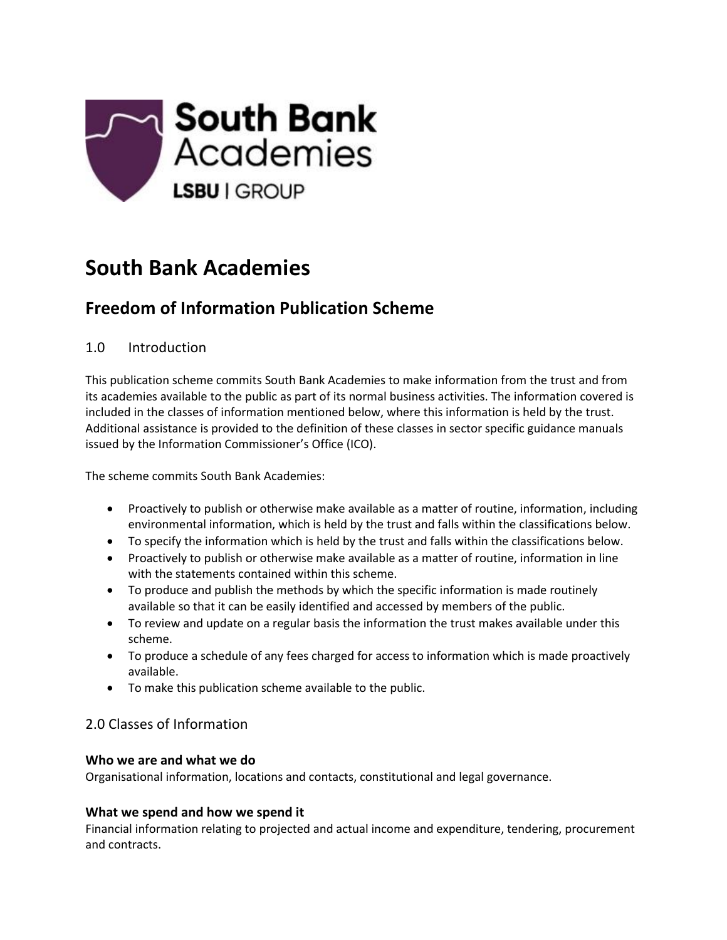

# **South Bank Academies**

## **Freedom of Information Publication Scheme**

## 1.0 Introduction

This publication scheme commits South Bank Academies to make information from the trust and from its academies available to the public as part of its normal business activities. The information covered is included in the classes of information mentioned below, where this information is held by the trust. Additional assistance is provided to the definition of these classes in sector specific guidance manuals issued by the Information Commissioner's Office (ICO).

The scheme commits South Bank Academies:

- Proactively to publish or otherwise make available as a matter of routine, information, including environmental information, which is held by the trust and falls within the classifications below.
- To specify the information which is held by the trust and falls within the classifications below.
- Proactively to publish or otherwise make available as a matter of routine, information in line with the statements contained within this scheme.
- To produce and publish the methods by which the specific information is made routinely available so that it can be easily identified and accessed by members of the public.
- To review and update on a regular basis the information the trust makes available under this scheme.
- To produce a schedule of any fees charged for access to information which is made proactively available.
- To make this publication scheme available to the public.

## 2.0 Classes of Information

#### **Who we are and what we do**

Organisational information, locations and contacts, constitutional and legal governance.

## **What we spend and how we spend it**

Financial information relating to projected and actual income and expenditure, tendering, procurement and contracts.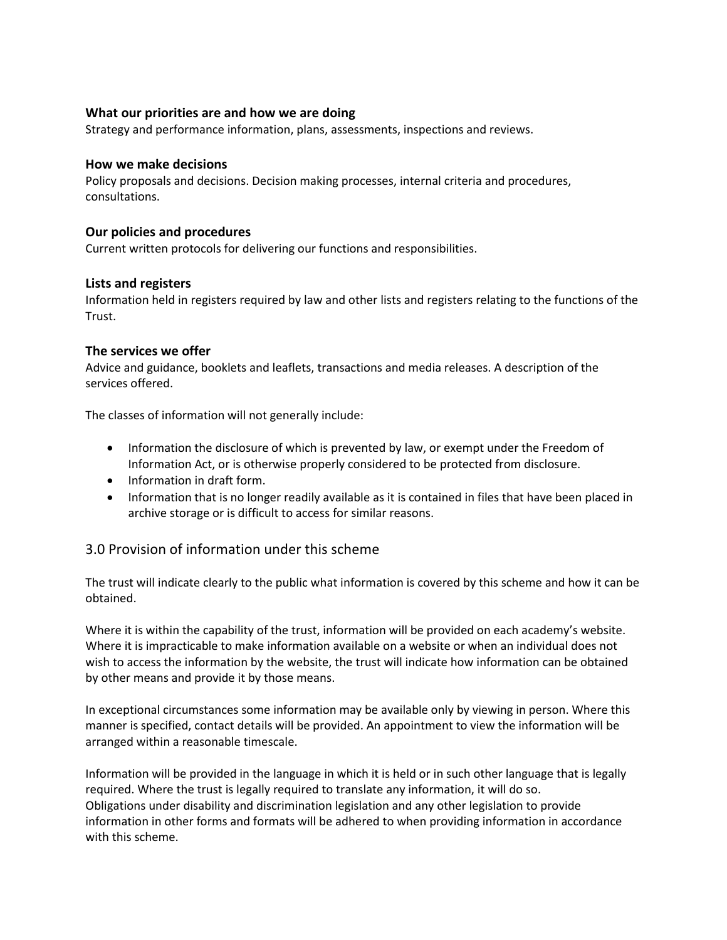#### **What our priorities are and how we are doing**

Strategy and performance information, plans, assessments, inspections and reviews.

#### **How we make decisions**

Policy proposals and decisions. Decision making processes, internal criteria and procedures, consultations.

#### **Our policies and procedures**

Current written protocols for delivering our functions and responsibilities.

#### **Lists and registers**

Information held in registers required by law and other lists and registers relating to the functions of the Trust.

#### **The services we offer**

Advice and guidance, booklets and leaflets, transactions and media releases. A description of the services offered.

The classes of information will not generally include:

- Information the disclosure of which is prevented by law, or exempt under the Freedom of Information Act, or is otherwise properly considered to be protected from disclosure.
- Information in draft form.
- Information that is no longer readily available as it is contained in files that have been placed in archive storage or is difficult to access for similar reasons.

#### 3.0 Provision of information under this scheme

The trust will indicate clearly to the public what information is covered by this scheme and how it can be obtained.

Where it is within the capability of the trust, information will be provided on each academy's website. Where it is impracticable to make information available on a website or when an individual does not wish to access the information by the website, the trust will indicate how information can be obtained by other means and provide it by those means.

In exceptional circumstances some information may be available only by viewing in person. Where this manner is specified, contact details will be provided. An appointment to view the information will be arranged within a reasonable timescale.

Information will be provided in the language in which it is held or in such other language that is legally required. Where the trust is legally required to translate any information, it will do so. Obligations under disability and discrimination legislation and any other legislation to provide information in other forms and formats will be adhered to when providing information in accordance with this scheme.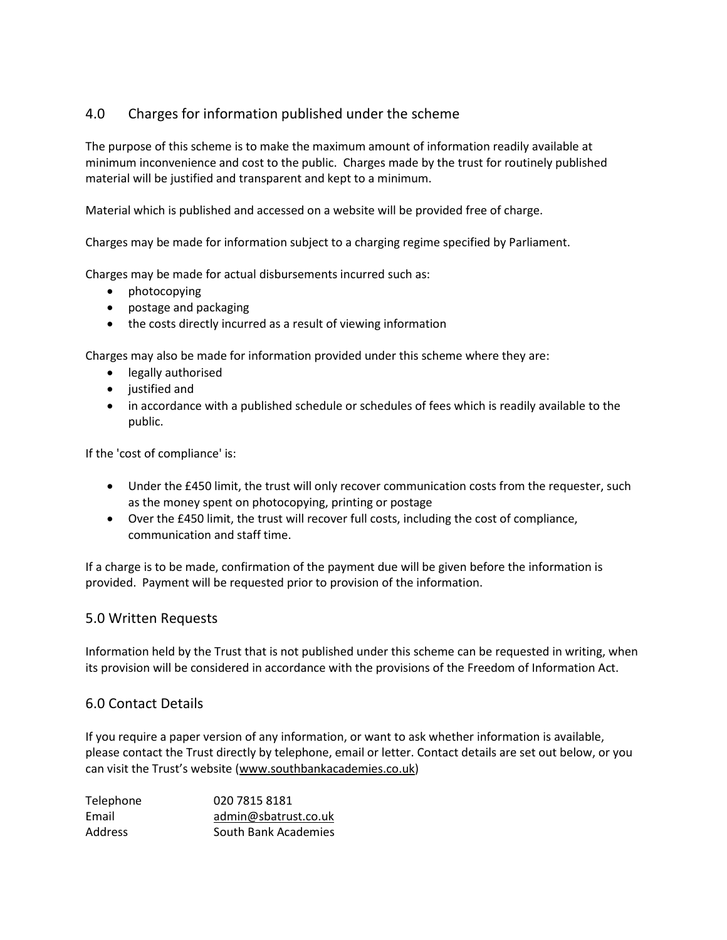## 4.0 Charges for information published under the scheme

The purpose of this scheme is to make the maximum amount of information readily available at minimum inconvenience and cost to the public. Charges made by the trust for routinely published material will be justified and transparent and kept to a minimum.

Material which is published and accessed on a website will be provided free of charge.

Charges may be made for information subject to a charging regime specified by Parliament.

Charges may be made for actual disbursements incurred such as:

- photocopying
- postage and packaging
- the costs directly incurred as a result of viewing information

Charges may also be made for information provided under this scheme where they are:

- legally authorised
- justified and
- in accordance with a published schedule or schedules of fees which is readily available to the public.

If the 'cost of compliance' is:

- Under the £450 limit, the trust will only recover communication costs from the requester, such as the money spent on photocopying, printing or postage
- Over the £450 limit, the trust will recover full costs, including the cost of compliance, communication and staff time.

If a charge is to be made, confirmation of the payment due will be given before the information is provided. Payment will be requested prior to provision of the information.

#### 5.0 Written Requests

Information held by the Trust that is not published under this scheme can be requested in writing, when its provision will be considered in accordance with the provisions of the Freedom of Information Act.

#### 6.0 Contact Details

If you require a paper version of any information, or want to ask whether information is available, please contact the Trust directly by telephone, email or letter. Contact details are set out below, or you can visit the Trust's website ([www.southbankacademies.co.uk\)](http://www.southbankacademies.co.uk/)

| Telephone      | 020 7815 8181        |
|----------------|----------------------|
| Email          | admin@sbatrust.co.uk |
| <b>Address</b> | South Bank Academies |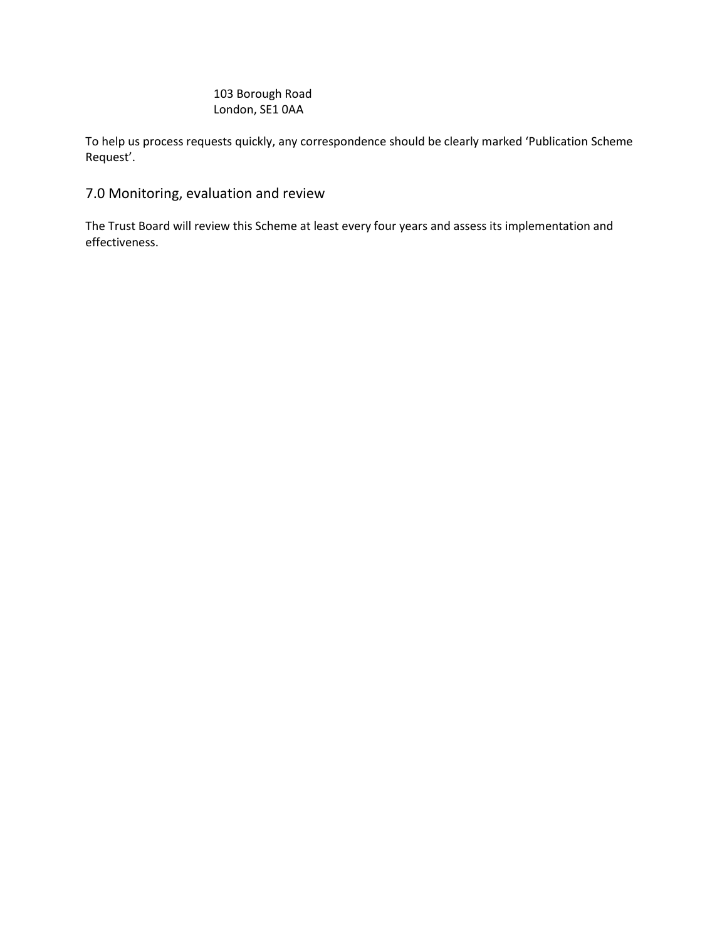### 103 Borough Road London, SE1 0AA

To help us process requests quickly, any correspondence should be clearly marked 'Publication Scheme Request'.

## 7.0 Monitoring, evaluation and review

The Trust Board will review this Scheme at least every four years and assess its implementation and effectiveness.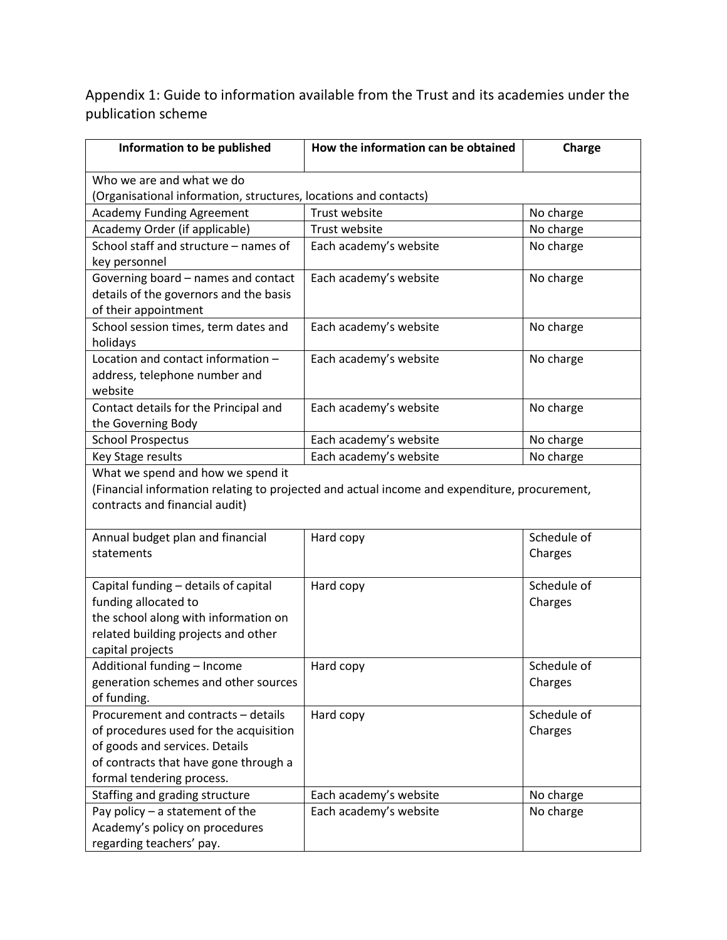Appendix 1: Guide to information available from the Trust and its academies under the publication scheme

| Information to be published                                      | How the information can be obtained                                                          | Charge      |
|------------------------------------------------------------------|----------------------------------------------------------------------------------------------|-------------|
| Who we are and what we do                                        |                                                                                              |             |
| (Organisational information, structures, locations and contacts) |                                                                                              |             |
| <b>Academy Funding Agreement</b>                                 | Trust website                                                                                | No charge   |
| Academy Order (if applicable)                                    | Trust website                                                                                | No charge   |
| School staff and structure - names of                            | Each academy's website                                                                       | No charge   |
| key personnel                                                    |                                                                                              |             |
| Governing board - names and contact                              | Each academy's website                                                                       | No charge   |
| details of the governors and the basis                           |                                                                                              |             |
| of their appointment                                             |                                                                                              |             |
| School session times, term dates and                             | Each academy's website                                                                       | No charge   |
| holidays                                                         |                                                                                              |             |
| Location and contact information -                               | Each academy's website                                                                       | No charge   |
| address, telephone number and                                    |                                                                                              |             |
| website                                                          |                                                                                              |             |
| Contact details for the Principal and                            | Each academy's website                                                                       | No charge   |
| the Governing Body                                               |                                                                                              |             |
| <b>School Prospectus</b>                                         | Each academy's website                                                                       | No charge   |
| Key Stage results                                                | Each academy's website                                                                       | No charge   |
| What we spend and how we spend it                                |                                                                                              |             |
|                                                                  | (Financial information relating to projected and actual income and expenditure, procurement, |             |
| contracts and financial audit)                                   |                                                                                              |             |
|                                                                  |                                                                                              |             |
| Annual budget plan and financial                                 | Hard copy                                                                                    | Schedule of |
| statements                                                       |                                                                                              | Charges     |
|                                                                  |                                                                                              |             |
| Capital funding - details of capital                             | Hard copy                                                                                    | Schedule of |
| funding allocated to                                             |                                                                                              | Charges     |
| the school along with information on                             |                                                                                              |             |
| related building projects and other                              |                                                                                              |             |
| capital projects                                                 |                                                                                              |             |
| Additional funding - Income                                      | Hard copy                                                                                    | Schedule of |
| generation schemes and other sources                             |                                                                                              | Charges     |
| of funding.                                                      |                                                                                              |             |
| Procurement and contracts - details                              | Hard copy                                                                                    | Schedule of |
| of procedures used for the acquisition                           |                                                                                              | Charges     |
| of goods and services. Details                                   |                                                                                              |             |
| of contracts that have gone through a                            |                                                                                              |             |
| formal tendering process.                                        |                                                                                              |             |
| Staffing and grading structure                                   | Each academy's website                                                                       | No charge   |
| Pay policy - a statement of the                                  | Each academy's website                                                                       | No charge   |
| Academy's policy on procedures                                   |                                                                                              |             |
| regarding teachers' pay.                                         |                                                                                              |             |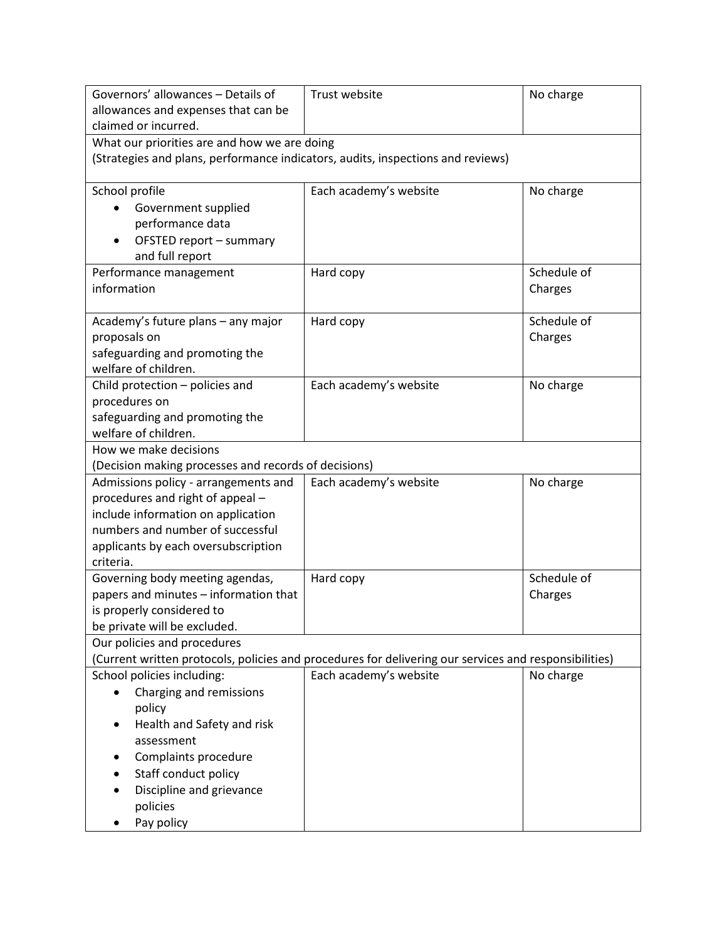| Governors' allowances - Details of                                                                    | Trust website          | No charge   |
|-------------------------------------------------------------------------------------------------------|------------------------|-------------|
| allowances and expenses that can be                                                                   |                        |             |
| claimed or incurred.                                                                                  |                        |             |
| What our priorities are and how we are doing                                                          |                        |             |
| (Strategies and plans, performance indicators, audits, inspections and reviews)                       |                        |             |
|                                                                                                       |                        |             |
| School profile                                                                                        | Each academy's website | No charge   |
| Government supplied                                                                                   |                        |             |
| performance data                                                                                      |                        |             |
| OFSTED report - summary<br>and full report                                                            |                        |             |
| Performance management                                                                                | Hard copy              | Schedule of |
| information                                                                                           |                        | Charges     |
|                                                                                                       |                        |             |
| Academy's future plans - any major                                                                    | Hard copy              | Schedule of |
| proposals on                                                                                          |                        | Charges     |
| safeguarding and promoting the                                                                        |                        |             |
| welfare of children.                                                                                  |                        |             |
| Child protection - policies and                                                                       | Each academy's website | No charge   |
| procedures on                                                                                         |                        |             |
| safeguarding and promoting the                                                                        |                        |             |
| welfare of children.                                                                                  |                        |             |
| How we make decisions                                                                                 |                        |             |
| (Decision making processes and records of decisions)                                                  |                        |             |
| Admissions policy - arrangements and                                                                  | Each academy's website | No charge   |
| procedures and right of appeal -                                                                      |                        |             |
| include information on application                                                                    |                        |             |
| numbers and number of successful                                                                      |                        |             |
| applicants by each oversubscription<br>criteria.                                                      |                        |             |
| Governing body meeting agendas,                                                                       | Hard copy              | Schedule of |
| papers and minutes - information that                                                                 |                        | Charges     |
| is properly considered to                                                                             |                        |             |
| be private will be excluded.                                                                          |                        |             |
| Our policies and procedures                                                                           |                        |             |
| (Current written protocols, policies and procedures for delivering our services and responsibilities) |                        |             |
| School policies including:                                                                            | Each academy's website | No charge   |
| Charging and remissions                                                                               |                        |             |
| policy                                                                                                |                        |             |
| Health and Safety and risk                                                                            |                        |             |
| assessment                                                                                            |                        |             |
| Complaints procedure                                                                                  |                        |             |
| Staff conduct policy                                                                                  |                        |             |
| Discipline and grievance                                                                              |                        |             |
| policies                                                                                              |                        |             |
| Pay policy                                                                                            |                        |             |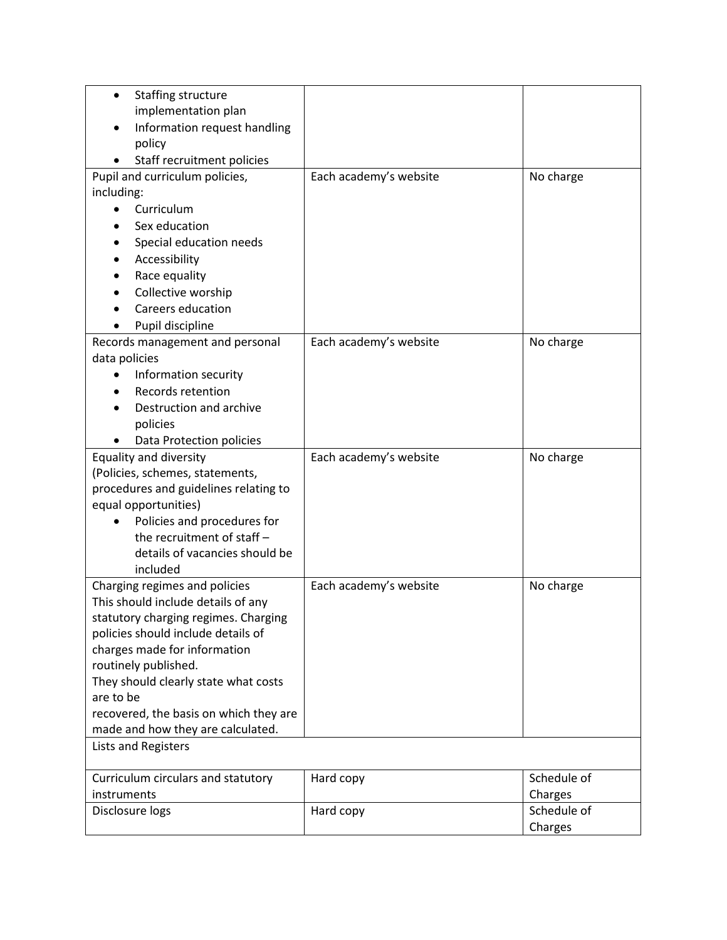| Staffing structure<br>$\bullet$       |                                        |                        |             |
|---------------------------------------|----------------------------------------|------------------------|-------------|
| implementation plan                   |                                        |                        |             |
|                                       | Information request handling           |                        |             |
| policy                                |                                        |                        |             |
|                                       | Staff recruitment policies             |                        |             |
| Pupil and curriculum policies,        |                                        | Each academy's website | No charge   |
| including:                            |                                        |                        |             |
| Curriculum<br>$\bullet$               |                                        |                        |             |
| Sex education                         |                                        |                        |             |
|                                       | Special education needs                |                        |             |
| Accessibility                         |                                        |                        |             |
| Race equality                         |                                        |                        |             |
| Collective worship                    |                                        |                        |             |
| Careers education                     |                                        |                        |             |
| Pupil discipline                      |                                        |                        |             |
| Records management and personal       |                                        | Each academy's website | No charge   |
| data policies                         |                                        |                        |             |
| Information security                  |                                        |                        |             |
| Records retention                     |                                        |                        |             |
|                                       | Destruction and archive                |                        |             |
| policies                              |                                        |                        |             |
|                                       | Data Protection policies               |                        |             |
| <b>Equality and diversity</b>         |                                        | Each academy's website | No charge   |
| (Policies, schemes, statements,       |                                        |                        |             |
| procedures and guidelines relating to |                                        |                        |             |
| equal opportunities)                  |                                        |                        |             |
| $\bullet$                             | Policies and procedures for            |                        |             |
|                                       | the recruitment of staff -             |                        |             |
|                                       | details of vacancies should be         |                        |             |
| included                              |                                        |                        |             |
| Charging regimes and policies         |                                        | Each academy's website | No charge   |
| This should include details of any    |                                        |                        |             |
| statutory charging regimes. Charging  |                                        |                        |             |
| policies should include details of    |                                        |                        |             |
| charges made for information          |                                        |                        |             |
| routinely published.                  |                                        |                        |             |
| They should clearly state what costs  |                                        |                        |             |
| are to be                             |                                        |                        |             |
|                                       | recovered, the basis on which they are |                        |             |
| made and how they are calculated.     |                                        |                        |             |
| <b>Lists and Registers</b>            |                                        |                        |             |
| Curriculum circulars and statutory    |                                        | Hard copy              | Schedule of |
| instruments                           |                                        |                        | Charges     |
| Disclosure logs                       |                                        | Hard copy              | Schedule of |
|                                       |                                        |                        | Charges     |
|                                       |                                        |                        |             |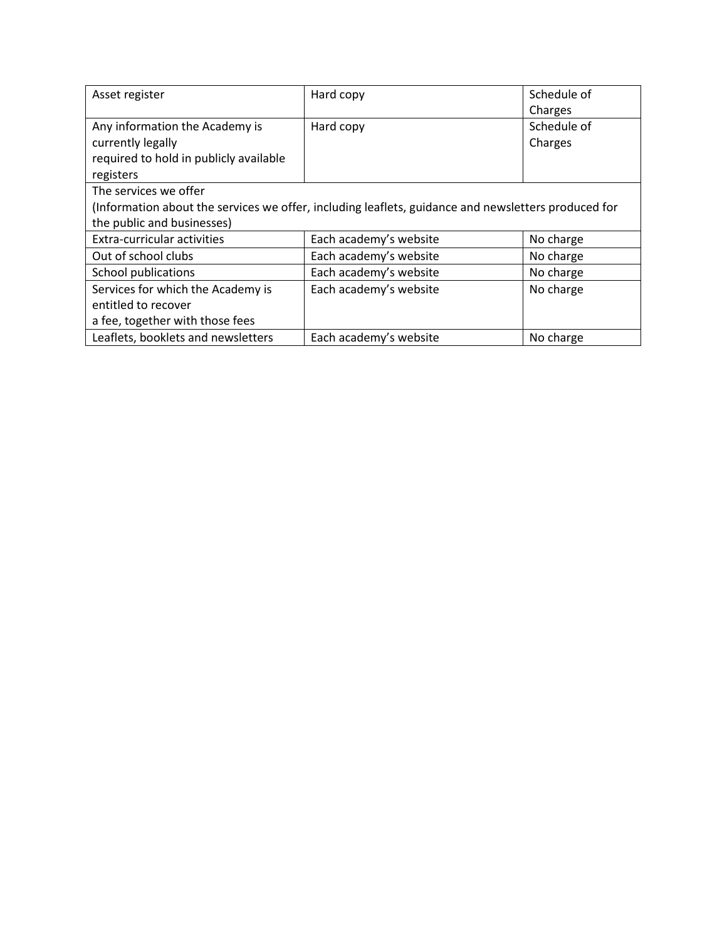| Asset register                                                                                      | Hard copy              | Schedule of |
|-----------------------------------------------------------------------------------------------------|------------------------|-------------|
|                                                                                                     |                        | Charges     |
| Any information the Academy is                                                                      | Hard copy              | Schedule of |
| currently legally                                                                                   |                        | Charges     |
| required to hold in publicly available                                                              |                        |             |
| registers                                                                                           |                        |             |
| The services we offer                                                                               |                        |             |
| (Information about the services we offer, including leaflets, guidance and newsletters produced for |                        |             |
| the public and businesses)                                                                          |                        |             |
| <b>Extra-curricular activities</b>                                                                  | Each academy's website | No charge   |
| Out of school clubs                                                                                 | Each academy's website | No charge   |
| <b>School publications</b>                                                                          | Each academy's website | No charge   |
| Services for which the Academy is                                                                   | Each academy's website | No charge   |
| entitled to recover                                                                                 |                        |             |
| a fee, together with those fees                                                                     |                        |             |
| Leaflets, booklets and newsletters                                                                  | Each academy's website | No charge   |